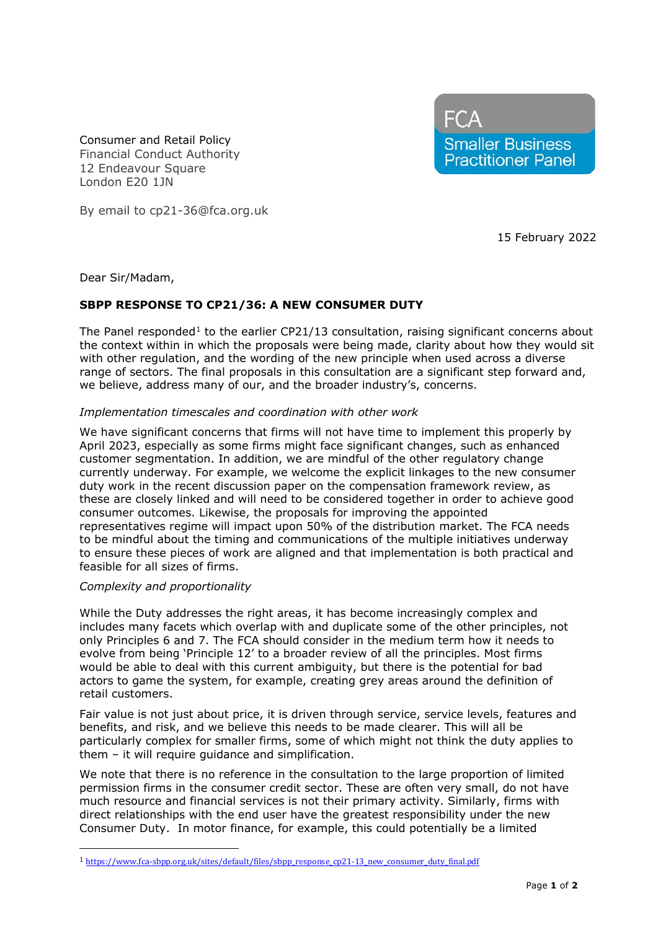FCA **Smaller Business Practitioner Panel** 

Consumer and Retail Policy Financial Conduct Authority 12 Endeavour Square London E20 1JN

By email to cp21-36@fca.org.uk

15 February 2022

Dear Sir/Madam,

# **SBPP RESPONSE TO CP21/36: A NEW CONSUMER DUTY**

The Panel responded<sup>[1](#page-0-0)</sup> to the earlier CP21/13 consultation, raising significant concerns about the context within in which the proposals were being made, clarity about how they would sit with other regulation, and the wording of the new principle when used across a diverse range of sectors. The final proposals in this consultation are a significant step forward and, we believe, address many of our, and the broader industry's, concerns.

### *Implementation timescales and coordination with other work*

We have significant concerns that firms will not have time to implement this properly by April 2023, especially as some firms might face significant changes, such as enhanced customer segmentation. In addition, we are mindful of the other regulatory change currently underway. For example, we welcome the explicit linkages to the new consumer duty work in the recent discussion paper on the compensation framework review, as these are closely linked and will need to be considered together in order to achieve good consumer outcomes. Likewise, the proposals for improving the appointed representatives regime will impact upon 50% of the distribution market. The FCA needs to be mindful about the timing and communications of the multiple initiatives underway to ensure these pieces of work are aligned and that implementation is both practical and feasible for all sizes of firms.

## *Complexity and proportionality*

While the Duty addresses the right areas, it has become increasingly complex and includes many facets which overlap with and duplicate some of the other principles, not only Principles 6 and 7. The FCA should consider in the medium term how it needs to evolve from being 'Principle 12' to a broader review of all the principles. Most firms would be able to deal with this current ambiguity, but there is the potential for bad actors to game the system, for example, creating grey areas around the definition of retail customers.

Fair value is not just about price, it is driven through service, service levels, features and benefits, and risk, and we believe this needs to be made clearer. This will all be particularly complex for smaller firms, some of which might not think the duty applies to them – it will require guidance and simplification.

We note that there is no reference in the consultation to the large proportion of limited permission firms in the consumer credit sector. These are often very small, do not have much resource and financial services is not their primary activity. Similarly, firms with direct relationships with the end user have the greatest responsibility under the new Consumer Duty. In motor finance, for example, this could potentially be a limited

<span id="page-0-0"></span><sup>1</sup> [https://www.fca-sbpp.org.uk/sites/default/files/sbpp\\_response\\_cp21-13\\_new\\_consumer\\_duty\\_final.pdf](https://www.fca-sbpp.org.uk/sites/default/files/sbpp_response_cp21-13_new_consumer_duty_final.pdf)